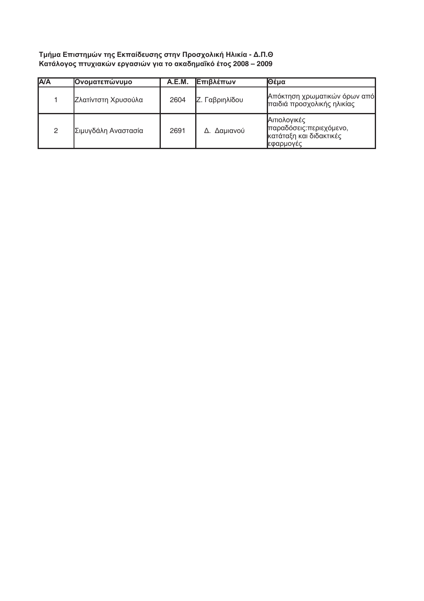## Τμήμα Επιστημών της Εκπαίδευσης στην Προσχολική Ηλικία - Δ.Π.Θ<br>Κατάλογος πτυχιακών εργασιών για το ακαδημαΐκό έτος 2008 – 2009

| <b>A/A</b> | Ονοματεπώνυμο       | A.E.M. | Επιβλέπων      | Θέμα                                                                              |
|------------|---------------------|--------|----------------|-----------------------------------------------------------------------------------|
|            | Ζλατίντστη Χρυσούλα | 2604   | Ζ. Γαβριηλίδου | Απόκτηση χρωματικών όρων από<br>παιδιά προσχολικής ηλικίας                        |
| 2          | Σιμυγδάλη Αναστασία | 2691   | Δ. Δαμιανού    | Αιτιολογικές<br>παραδόσεις: περιεχόμενο,<br>κατάταξη και διδακτικές<br> εφαρμογές |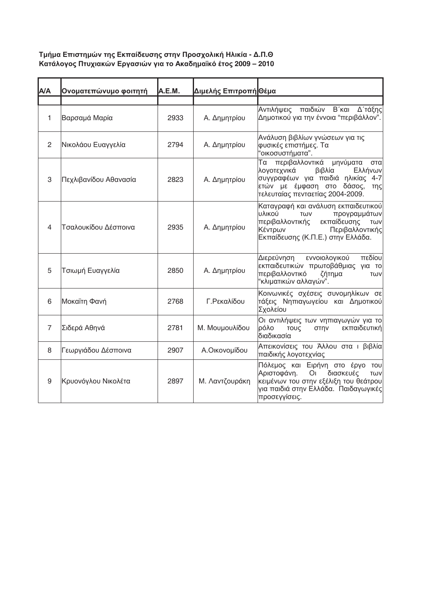## Τμήμα Επιστημών της Εκπαίδευσης στην Προσχολική Ηλικία - Δ.Π.Θ<br>Κατάλογος Πτυχιακών Εργασιών για το Ακαδημαϊκό έτος 2009 – 2010

| A/A            | Ονοματεπώνυμο φοιτητή | A.E.M. | Διμελής Επιτροπή Θέμα |                                                                                                                                                                                          |
|----------------|-----------------------|--------|-----------------------|------------------------------------------------------------------------------------------------------------------------------------------------------------------------------------------|
|                |                       |        |                       |                                                                                                                                                                                          |
| $\mathbf{1}$   | Βαρσαμά Μαρία         | 2933   | Α. Δημητρίου          | παιδιών Β΄ και Δ΄ τάξης<br>Αντιλήψεις<br>Δημοτικού για την έννοια "περιβάλλον".                                                                                                          |
| 2              | Νικολάου Ευαγγελία    | 2794   | Α. Δημητρίου          | Ανάλυση βιβλίων γνώσεων για τις<br>φυσικές επιστήμες. Τα<br>"οικοσυστήματα".                                                                                                             |
| 3              | Πεχλιβανίδου Αθανασία | 2823   | Α. Δημητρίου          | Τα περιβαλλοντικά μηνύματα<br>στα<br>λογοτεχνικά<br>βιβλία<br>Ελλήνων<br>συγγραφέων για παιδιά ηλικίας 4-7<br>ετών με έμφαση στο δάσος,<br>της<br>τελευταίας πενταετίας 2004-2009.       |
| $\overline{4}$ | Τσαλουκίδου Δέσποινα  | 2935   | Α. Δημητρίου          | Καταγραφή και ανάλυση εκπαιδευτικού<br>Ιυλικού<br>προγραμμάτων<br><b>TWV</b><br>εκπαίδευσης<br>περιβαλλοντικής<br>TWV<br>Κέντρων<br>Περιβαλλοντικής<br>Εκπαίδευσης (Κ.Π.Ε.) στην Ελλάδα. |
| 5              | Τσιωμή Ευαγγελία      | 2850   | Α. Δημητρίου          | εννοιολογικού<br>πεδίου<br>Διερεύνηση<br>εκπαιδευτικών πρωτοβάθμιας για το<br>περιβαλλοντικό<br>ζήτημα<br>TWV<br>"κλιματικών αλλαγών".                                                   |
| 6              | Μοκαϊτη Φανή          | 2768   | Γ.Ρεκαλίδου           | Κοινωνικές σχέσεις συνομηλίκων σε<br>τάξεις Νηπιαγωγείου και Δημοτικού<br>Σχολείου                                                                                                       |
| $\overline{7}$ | Σιδερά Αθηνά          | 2781   | Μ. Μουμουλίδου        | Οι αντιλήψεις των νηπιαγωγών για το<br>ρόλο<br>εκπαιδευτική<br>ΤΟυς<br>στην<br>διαδικασία                                                                                                |
| 8              | Γεωργιάδου Δέσποινα   | 2907   | Α.Οικονομίδου         | Απεικονίσεις του Άλλου στα ι βιβλία<br>παιδικής λογοτεχνίας                                                                                                                              |
| 9              | Κρυονόγλου Νικολέτα   | 2897   | Μ. Λαντζουράκη        | Πόλεμος και Ειρήνη στο έργο του<br>Αριστοφάνη.<br>O <sub>I</sub><br>διασκευές<br>TWV<br>κειμένων του στην εξέλιξη του θεάτρου<br>για παιδιά στην Ελλάδα. Παιδαγωγικές<br>προσεγγίσεις.   |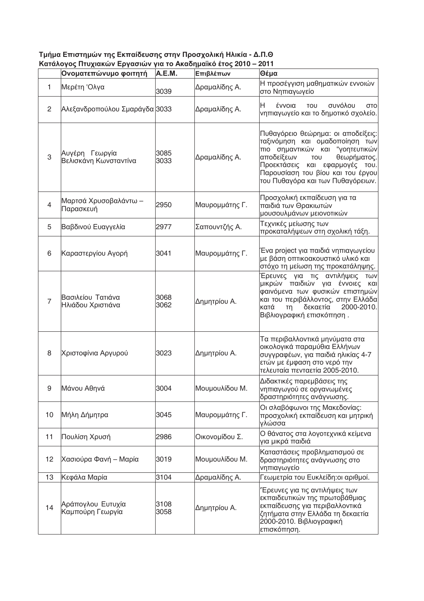| Τμήμα Επιστημών της Εκπαίδευσης στην Προσχολική Ηλικία - Δ.Π.Θ |                                                                 |  |  |  |  |  |
|----------------------------------------------------------------|-----------------------------------------------------------------|--|--|--|--|--|
|                                                                | Κατάλογος Πτυχιακών Εργασιών για το Ακαδημαϊκό έτος 2010 – 2011 |  |  |  |  |  |
|                                                                |                                                                 |  |  |  |  |  |

|                | Ονοματεπώνυμο φοιτητή                   | A.E.M.       | Επιβλέπων      | Θέμα                                                                                                                                                                                                                                                    |
|----------------|-----------------------------------------|--------------|----------------|---------------------------------------------------------------------------------------------------------------------------------------------------------------------------------------------------------------------------------------------------------|
| 1              | Μερέτη 'Ολγα                            | 3039         | Δραμαλίδης Α.  | Η προσέγγιση μαθηματικών εννοιών<br>στο Νηπιαγωγείο                                                                                                                                                                                                     |
| $\mathbf{2}$   | Αλεξανδροπούλου Σμαράγδα 3033           |              | Δραμαλίδης Α.  | H.<br>έννοια<br>συνόλου<br><b>TOU</b><br>στo<br>νηπιαγωγείο και το δημοτικό σχολείο.                                                                                                                                                                    |
| 3              | Αυγέρη Γεωργία<br>Βελισκάνη Κωνσταντίνα | 3085<br>3033 | Δραμαλίδης Α.  | Πυθαγόρειο θεώρημα: οι αποδείξεις:<br>ταξινόμηση και ομαδοποίηση των<br>πιο σημαντικών και "γοητευτικών<br>αποδείξεων<br>TOU<br>θεωρήματος.<br>Προεκτάσεις και εφαρμογές του.<br>Παρουσίαση του βίου και του έργου<br>του Πυθαγόρα και των Πυθαγόρειων. |
| 4              | Μαρτσά Χρυσοβαλάντω -<br>Παρασκευή      | 2950         | Μαυρομμάτης Γ. | Προσχολική εκπαίδευση για τα<br>παιδιά των Θρακιωτών<br>μουσουλμάνων μειονοτικών                                                                                                                                                                        |
| 5              | Βαβδινού Ευαγγελία                      | 2977         | Σαπουντζής Α.  | Τεχνικές μείωσης των<br>προκαταλήψεων στη σχολική τάξη.                                                                                                                                                                                                 |
| 6              | Καραστεργίου Αγορή                      | 3041         | Μαυρομμάτης Γ. | Ένα project για παιδιά νηπιαγωγείου<br>με βάση οπτικοακουστικό υλικό και<br>στόχο τη μείωση της προκατάληψης.                                                                                                                                           |
| $\overline{7}$ | Βασιλείου Τατιάνα<br>Ηλιάδου Χριστιάνα  | 3068<br>3062 | Δημητρίου Α.   | Έρευνες για τις αντιλήψεις<br>TWV<br>μικρών παιδιών για έννοιες<br>και<br>φαινόμενα των φυσικών επιστημών<br>και του περιβάλλοντος, στην Ελλάδα<br>2000-2010.<br>κατά<br>δεκαετία<br>τη<br>Βιβλιογραφική επισκόπηση.                                    |
| 8              | Χριστοφίνια Αργυρού                     | 3023         | Δημητρίου Α.   | Τα περιβαλλοντικά μηνύματα στα<br>οικολογικά παραμύθια Ελλήνων<br>συγγραφέων, για παιδιά ηλικίας 4-7<br>ετών με έμφαση στο νερό την<br>τελευταία πενταετία 2005-2010.                                                                                   |
| 9              | Μάνου Αθηνά                             | 3004         | Μουμουλίδου Μ. | Διδακτικές παρεμβάσεις της<br>νηπιαγωγού σε οργανωμένες<br>δραστηριότητες ανάγνωσης.                                                                                                                                                                    |
| 10             | Μήλη Δήμητρα                            | 3045         | Μαυρομμάτης Γ. | Οι σλαβόφωνοι της Μακεδονίας:<br>προσχολική εκπαίδευση και μητρική<br>γλώσσα                                                                                                                                                                            |
| 11             | Πουλίση Χρυσή                           | 2986         | Οικονομίδου Σ. | Ο θάνατος στα λογοτεχνικά κείμενα<br>για μικρά παιδιά                                                                                                                                                                                                   |
| 12             | Χασιούρα Φανή - Μαρία                   | 3019         | Μουμουλίδου Μ. | Καταστάσεις προβληματισμού σε<br>δραστηριότητες ανάγνωσης στο<br>νηπιαγωγείο                                                                                                                                                                            |
| 13             | Κεφάλα Μαρία                            | 3104         | Δραμαλίδης Α.  | Γεωμετρία του Ευκλείδη: οι αριθμοί.                                                                                                                                                                                                                     |
| 14             | Αράπογλου Ευτυχία<br>Καμπούρη Γεωργία   | 3108<br>3058 | Δημητρίου Α.   | Έρευνες για τις αντιλήψεις των<br>εκπαιδευτικών της πρωτοβάθμιας<br>εκπαίδευσης για περιβαλλοντικά<br>ζητήματα στην Ελλάδα τη δεκαετία<br>2000-2010. Βιβλιογραφική<br>επισκόπηση.                                                                       |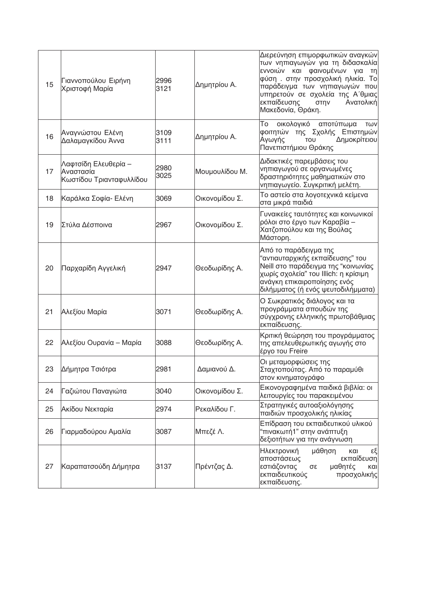| 15 | Γιαννοπούλου Ειρήνη<br>Χριστοφή Μαρία                         | 2996<br>3121 | Δημητρίου Α.   | Διερεύνηση επιμορφωτικών αναγκών<br>των νηπιαγωγών για τη διδασκαλία<br>εννοιών και φαινομένων για<br>πη<br>φύση. στην προσχολική ηλικία. Το<br>παράδειγμα των νηπιαγωγών που<br>υπηρετούν σε σχολεία της Α΄θμιας<br>εκπαίδευσης<br>Ανατολική<br>στην<br>Μακεδονία, Θράκη. |
|----|---------------------------------------------------------------|--------------|----------------|----------------------------------------------------------------------------------------------------------------------------------------------------------------------------------------------------------------------------------------------------------------------------|
| 16 | Αναγνώστου Ελένη<br>Δαλαμαγκίδου Άννα                         | 3109<br>3111 | Δημητρίου Α.   | To<br>οικολογικό<br>αποτύπωμα<br>TWV<br>φοιτητών της Σχολής Επιστημών<br>Αγωγής<br>Δημοκρίτειου<br>TOU<br>Πανεπιστήμιου Θράκης                                                                                                                                             |
| 17 | Λαφτσίδη Ελευθερία –<br>Αναστασία<br>Κωστίδου Τριανταφυλλίδου | 2980<br>3025 | Μουμουλίδου Μ. | Διδακτικές παρεμβάσεις του<br>νηπιαγωγού σε οργανωμένες<br>δραστηριότητες μαθηματικών στο<br>νηπιαγωγείο. Συγκριτική μελέτη.                                                                                                                                               |
| 18 | Καράλκα Σοφία- Ελένη                                          | 3069         | Οικονομίδου Σ. | Το αστείο στα λογοτεχνικά κείμενα<br>στα μικρά παιδιά                                                                                                                                                                                                                      |
| 19 | Στύλα Δέσποινα                                                | 2967         | Οικονομίδου Σ. | Γυναικείες ταυτότητες και κοινωνικοί<br>ρόλοι στο έργο των Καραβία –<br>Χατζοπούλου και της Βούλας<br>Μάστορη.                                                                                                                                                             |
| 20 | Παρχαρίδη Αγγελική                                            | 2947         | Θεοδωρίδης Α.  | Από το παράδειγμα της<br>"αντιαυταρχικής εκπαίδευσης" του<br>Neill στο παράδειγμα της "κοινωνίας<br>χωρίς σχολεία" του Illich: η κρίσιμη<br>ανάγκη επικαιροποίησης ενός<br>διλήμματος (ή ενός ψευτοδιλήμματα)                                                              |
| 21 | Αλεξίου Μαρία                                                 | 3071         | Θεοδωρίδης Α.  | Ο Σωκρατικός διάλογος και τα<br>προγράμματα σπουδών της<br>σύγχρονης ελληνικής πρωτοβάθμιας<br>εκπαίδευσης.                                                                                                                                                                |
| 22 | Αλεξίου Ουρανία – Μαρία                                       | 3088         | Θεοδωρίδης Α.  | Κριτική θεώρηση του προγράμματος<br>της απελευθερωτικής αγωγής στο<br>έργο του Freire                                                                                                                                                                                      |
| 23 | Δήμητρα Τσιότρα                                               | 2981         | Δαμιανού Δ.    | Οι μεταμορφώσεις της<br>Σταχτοπούτας. Από το παραμύθι<br>στον κινηματογράφο                                                                                                                                                                                                |
| 24 | Γαζιώτου Παναγιώτα                                            | 3040         | Οικονομίδου Σ. | Εικονογραφημένα παιδικά βιβλία: οι<br>λειτουργίες του παρακειμένου                                                                                                                                                                                                         |
| 25 | Ακίδου Νεκταρία                                               | 2974         | Ρεκαλίδου Γ.   | Στρατηγικές αυτοαξιολόγησης<br>παιδιών προσχολικής ηλικίας                                                                                                                                                                                                                 |
| 26 | Γιαρμαδούρου Αμαλία                                           | 3087         | Μπεζέ Λ.       | Επίδραση του εκπαιδευτικού υλικού<br>"πινακωτή1" στην ανάπτυξη<br>δεξιοτήτων για την ανάγνωση                                                                                                                                                                              |
| 27 | Καραπατσούδη Δήμητρα                                          | 3137         | Πρέντζας Δ.    | Ηλεκτρονική<br>μάθηση<br>εξ<br>και<br>αποστάσεως<br>εκπαίδευση<br>εστιάζοντας<br>μαθητές<br>σε<br>και<br>εκπαιδευτικούς<br>προσχολικής<br>εκπαίδευσης.                                                                                                                     |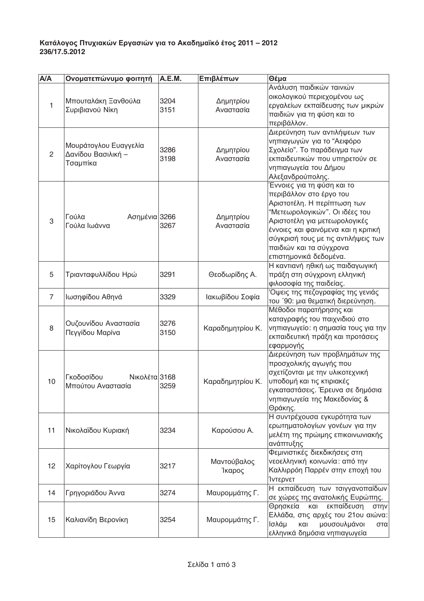## Κατάλογος Πτυχιακών Εργασιών για το Ακαδημαϊκό έτος 2011 – 2012<br>236/17.5.2012

| A/A            | Ονοματεπώνυμο φοιτητή                                   | A.E.M.       | Επιβλέπων              | Θέμα                                                                                                                                                                                                                                                                                       |
|----------------|---------------------------------------------------------|--------------|------------------------|--------------------------------------------------------------------------------------------------------------------------------------------------------------------------------------------------------------------------------------------------------------------------------------------|
| $\mathbf{1}$   | Μπουταλάκη Ξανθούλα<br>Συριβιανού Νίκη                  | 3204<br>3151 | Δημητρίου<br>Αναστασία | Ανάλυση παιδικών ταινιών<br>οικολογικού περιεχομένου ως<br>εργαλείων εκπαίδευσης των μικρών<br>παιδιών για τη φύση και το<br>περιβάλλον.                                                                                                                                                   |
| 2              | Μουράτογλου Ευαγγελία<br>Δανίδου Βασιλική -<br>Τσαμπίκα | 3286<br>3198 | Δημητρίου<br>Αναστασία | Διερεύνηση των αντιλήψεων των<br>νηπιαγωγών για το "Αειφόρο<br>Σχολείο". Το παράδειγμα των<br>εκπαιδευτικών που υπηρετούν σε<br>νηπιαγωγεία του Δήμου<br>Αλεξανδρούπολης.                                                                                                                  |
| 3              | Ασημένια 3266<br>Γούλα<br>Γούλα Ιωάννα                  | 3267         | Δημητρίου<br>Αναστασία | Έννοιες για τη φύση και το<br>περιβάλλον στο έργο του<br>Αριστοτέλη. Η περίπτωση των<br>"Μετεωρολογικών". Οι ιδέες του<br>Αριστοτέλη για μετεωρολογικές<br>έννοιες και φαινόμενα και η κριτική<br>σύγκρισή τους με τις αντιλήψεις των<br>παιδιών και τα σύγχρονα<br>επιστημονικά δεδομένα. |
| 5              | Τριανταφυλλίδου Ηρώ                                     | 3291         | Θεοδωρίδης Α.          | Η καντιανή ηθική ως παιδαγωγική<br>πράξη στη σύγχρονη ελληνική<br>φιλοσοφία της παιδείας.                                                                                                                                                                                                  |
| $\overline{7}$ | Ιωσηφίδου Αθηνά                                         | 3329         | Ιακωβίδου Σοφία        | Όψεις της πεζογραφίας της γενιάς<br>του '90: μια θεματική διερεύνηση.                                                                                                                                                                                                                      |
| 8              | Ουζουνίδου Αναστασία<br>Πεγγίδου Μαρίνα                 | 3276<br>3150 | Καραδημητρίου Κ.       | Μέθοδοι παρατήρησης και<br>καταγραφής του παιχνιδιού στο<br>νηπιαγωγείο: η σημασία τους για την<br>εκπαιδευτική πράξη και προτάσεις<br>εφαρμογής                                                                                                                                           |
| 10             | Γκοδοσίδου<br>Νικολέτα 3168<br>Μπούτου Αναστασία        | 3259         | Καραδημητρίου Κ.       | Διερεύνηση των προβλημάτων της<br>προσχολικής αγωγής που<br>σχετίζονται με την υλικοτεχνική<br>υποδομή και τις κτιριακές<br>εγκαταστάσεις. Έρευνα σε δημόσια<br>νηπιαγωγεία της Μακεδονίας &<br>Θράκης.                                                                                    |
| 11             | Νικολαϊδου Κυριακή                                      | 3234         | Καρούσου Α.            | Η συντρέχουσα εγκυρότητα των<br>ερωτηματολογίων γονέων για την<br>μελέτη της πρώιμης επικοινωνιακής<br>ανάπτυξης                                                                                                                                                                           |
| 12             | Χαρίτογλου Γεωργία                                      | 3217         | Μαντούβαλος<br>Ίκαρος  | Φεμινιστικές διεκδικήσεις στη<br>νεοελληνική κοινωνία: από την<br>Καλλιρρόη Παρρέν στην εποχή του<br>Ίντερνετ                                                                                                                                                                              |
| 14             | Γρηγοριάδου Άννα                                        | 3274         | Μαυρομμάτης Γ.         | Η εκπαίδευση των τσιγγανοπαίδων<br>σε χώρες της ανατολικής Ευρώπης.                                                                                                                                                                                                                        |
| 15             | Καλιανίδη Βερονίκη                                      | 3254         | Μαυρομμάτης Γ.         | Θρησκεία<br>και<br>εκπαίδευση<br>στην<br>Ελλάδα, στις αρχές του 21ου αιώνα:<br>Ισλάμ<br>μουσουλμάνοι<br>και<br>στα<br>ελληνικά δημόσια νηπιαγωγεία                                                                                                                                         |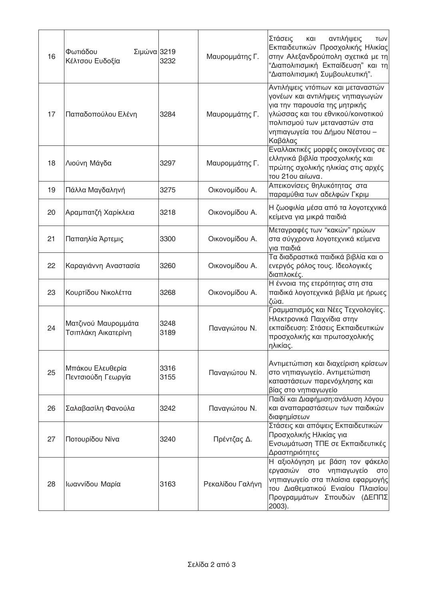| 16 | Φωτιάδου<br>Σιμώνα 3219<br>Κέλτσου Ευδοξία | 3232         | Μαυρομμάτης Γ.   | Στάσεις<br>αντιλήψεις<br>και<br>TWV<br>Εκπαιδευτικών Προσχολικής Ηλικίας<br>στην Αλεξανδρούπολη σχετικά με τη<br>"Διαπολιτισμική Εκπαίδευση" και τη<br>"Διαπολιτισμική Συμβουλευτική".                                     |
|----|--------------------------------------------|--------------|------------------|----------------------------------------------------------------------------------------------------------------------------------------------------------------------------------------------------------------------------|
| 17 | Παπαδοπούλου Ελένη                         | 3284         | Μαυρομμάτης Γ.   | Αντιλήψεις ντόπιων και μεταναστών<br>γονέων και αντιλήψεις νηπιαγωγών<br>για την παρουσία της μητρικής<br>γλώσσας και του εθνικού/κοινοτικού<br>πολιτισμού των μεταναστών στα<br>νηπιαγωγεία του Δήμου Νέστου -<br>Καβάλας |
| 18 | Λιούνη Μάγδα                               | 3297         | Μαυρομμάτης Γ.   | Εναλλακτικές μορφές οικογένειας σε<br>ελληνικά βιβλία προσχολικής και<br>πρώτης σχολικής ηλικίας στις αρχές<br>του 21ου αιίωνα.                                                                                            |
| 19 | Πάλλα Μαγδαληνή                            | 3275         | Οικονομίδου Α.   | Απεικονίσεις θηλυκότητας στα<br>παραμύθια των αδελφών Γκριμ                                                                                                                                                                |
| 20 | Αραμπατζή Χαρίκλεια                        | 3218         | Οικονομίδου Α.   | Η ζωοφιλία μέσα από τα λογοτεχνικά<br>κείμενα για μικρά παιδιά                                                                                                                                                             |
| 21 | Παπαηλία Άρτεμις                           | 3300         | Οικονομίδου Α.   | Μεταγραφές των "κακών" ηρώων<br>στα σύγχρονα λογοτεχνικά κείμενα<br>για παιδιά                                                                                                                                             |
| 22 | Καραγιάννη Αναστασία                       | 3260         | Οικονομίδου Α.   | Τα διαδραστικά παιδικά βιβλία και ο<br>ενεργός ρόλος τους. Ιδεολογικές<br>διαπλοκές.                                                                                                                                       |
| 23 | Κουρτίδου Νικολέττα                        | 3268         | Οικονομίδου Α.   | Η έννοια της ετερότητας στη στα<br>παιδικά λογοτεχνικά βιβλία με ήρωες<br>ζώα.                                                                                                                                             |
| 24 | Ματζινού Μαυρομμάτα<br>Τσιπλάκη Αικατερίνη | 3248<br>3189 | Παναγιώτου Ν.    | Γραμματισμός και Νέες Τεχνολογίες.<br>Ηλεκτρονικά Παιχνίδια στην<br>εκπαίδευση: Στάσεις Εκπαιδευτικών<br>προσχολικής και πρωτοσχολικής<br>ηλικίας.                                                                         |
| 25 | Μπάκου Ελευθερία<br>Πεντσιούδη Γεωργία     | 3316<br>3155 | Παναγιώτου Ν.    | Αντιμετώπιση και διαχείριση κρίσεων<br>στο νηπιαγωγείο. Αντιμετώπιση<br>καταστάσεων παρενόχλησης και<br>βίας στο νηπιαγωγείο                                                                                               |
| 26 | Σαλαβασίλη Φανούλα                         | 3242         | Παναγιώτου Ν.    | Παιδί και Διαφήμιση: ανάλυση λόγου<br>και αναπαραστάσεων των παιδικών<br>διαφημίσεων                                                                                                                                       |
| 27 | Ποτουρίδου Νίνα                            | 3240         | Πρέντζας Δ.      | Στάσεις και απόψεις Εκπαιδευτικών<br>Προσχολικής Ηλικίας για<br>Ενσωμάτωση ΤΠΕ σε Εκπαιδευτικές<br>Δραστηριότητες                                                                                                          |
| 28 | Ιωαννίδου Μαρία                            | 3163         | Ρεκαλίδου Γαλήνη | Η αξιολόγηση με βάση τον φάκελο<br>εργασιών στο νηπιαγωγείο<br><b>OTO</b><br>νηπιαγωγείο στα πλαίσια εφαρμογής<br>του Διαθεματικού Ενιαίου Πλαισίου<br>Προγραμμάτων Σπουδών (ΔΕΠΠΣ<br>2003).                               |